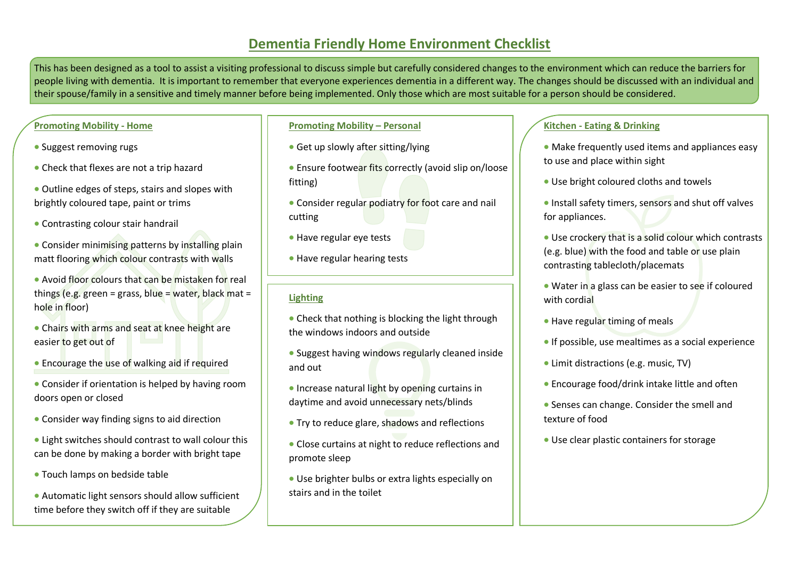# **Dementia Friendly Home Environment Checklist**

This has been designed as a tool to assist a visiting professional to discuss simple but carefully considered changes to the environment which can reduce the barriers for people living with dementia. It is important to remember that everyone experiences dementia in a different way. The changes should be discussed with an individual and their spouse/family in a sensitive and timely manner before being implemented. Only those which are most suitable for a person should be considered.

# **Promoting Mobility - Home**

- Suggest removing rugs
- Check that flexes are not a trip hazard
- Outline edges of steps, stairs and slopes with brightly coloured tape, paint or trims
- Contrasting colour stair handrail
- Consider minimising patterns by installing plain matt flooring which colour contrasts with walls
- Avoid floor colours that can be mistaken for real things (e.g. green = grass, blue = water, black mat = hole in floor)
- Chairs with arms and seat at knee height are easier to get out of
- Encourage the use of walking aid if required
- Consider if orientation is helped by having room doors open or closed
- Consider way finding signs to aid direction
- Light switches should contrast to wall colour this can be done by making a border with bright tape
- Touch lamps on bedside table
- Automatic light sensors should allow sufficient time before they switch off if they are suitable

## **Promoting Mobility – Personal**

- Get up slowly after sitting/lying
- **Ensure footwear fits correctly (avoid slip on/loose** fitting)
- Consider regular podiatry for foot care and nail cutting
- Have regular eye tests
- Have regular hearing tests

# **Lighting**

- Check that nothing is blocking the light through the windows indoors and outside
- Suggest having windows regularly cleaned inside and out
- $\bullet$  Increase natural light by opening curtains in daytime and avoid unnecessary nets/blinds
- Try to reduce glare, shadows and reflections
- Close curtains at night to reduce reflections and promote sleep
- Use brighter bulbs or extra lights especially on stairs and in the toilet

# **Kitchen - Eating & Drinking**

- Make frequently used items and appliances easy to use and place within sight
- Use bright coloured cloths and towels
- **Install safety timers, sensors and shut off valves** for appliances.
- Use crockery that is a solid colour which contrasts (e.g. blue) with the food and table or use plain contrasting tablecloth/placemats
- Water in a glass can be easier to see if coloured with cordial
- Have regular timing of meals
- $\bullet$  If possible, use mealtimes as a social experience
- Limit distractions (e.g. music, TV)
- Encourage food/drink intake little and often
- Senses can change. Consider the smell and texture of food
- Use clear plastic containers for storage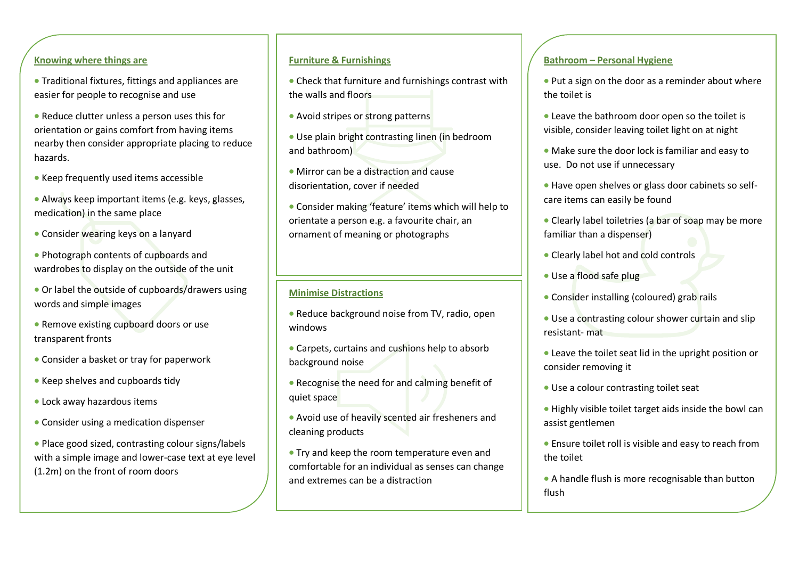#### **Knowing where things are**

- Traditional fixtures, fittings and appliances are easier for people to recognise and use
- Reduce clutter unless a person uses this for orientation or gains comfort from having items nearby then consider appropriate placing to reduce hazards.
- Keep frequently used items accessible
- Always keep important items (e.g. keys, glasses, medication) in the same place
- Consider wearing keys on a lanyard
- Photograph contents of cupboards and wardrobes to display on the outside of the unit
- Or label the outside of cupboards/drawers using words and simple images
- Remove existing cupboard doors or use transparent fronts
- Consider a basket or tray for paperwork
- Keep shelves and cupboards tidy
- Lock away hazardous items
- Consider using a medication dispenser
- Place good sized, contrasting colour signs/labels with a simple image and lower-case text at eye level (1.2m) on the front of room doors

#### **Furniture & Furnishings**

 Check that furniture and furnishings contrast with the walls and floors

- Avoid stripes or strong patterns
- Use plain bright contrasting linen (in bedroom and bathroom)
- Mirror can be a distraction and cause disorientation, cover if needed
- Consider making 'feature' items which will help to orientate a person e.g. a favourite chair, an ornament of meaning or photographs

#### **Minimise Distractions**

 $\overline{a}$ 

- Reduce background noise from TV, radio, open windows
- Carpets, curtains and cushions help to absorb background noise
- Recognise the need for and calming benefit of quiet space
- Avoid use of heavily scented air fresheners and cleaning products
- Try and keep the room temperature even and comfortable for an individual as senses can change and extremes can be a distraction

#### **Bathroom – Personal Hygiene**

- Put a sign on the door as a reminder about where the toilet is
- Leave the bathroom door open so the toilet is visible, consider leaving toilet light on at night
- Make sure the door lock is familiar and easy to use. Do not use if unnecessary
- Have open shelves or glass door cabinets so selfcare items can easily be found
- Clearly label toiletries (a bar of soap may be more familiar than a dispenser)
- Clearly label hot and cold controls
- Use a flood safe plug
- Consider installing (coloured) grab rails
- Use a contrasting colour shower curtain and slip resistant- mat
- Leave the toilet seat lid in the upright position or consider removing it
- Use a colour contrasting toilet seat
- Highly visible toilet target aids inside the bowl can assist gentlemen
- Ensure toilet roll is visible and easy to reach from the toilet
- A handle flush is more recognisable than button flush